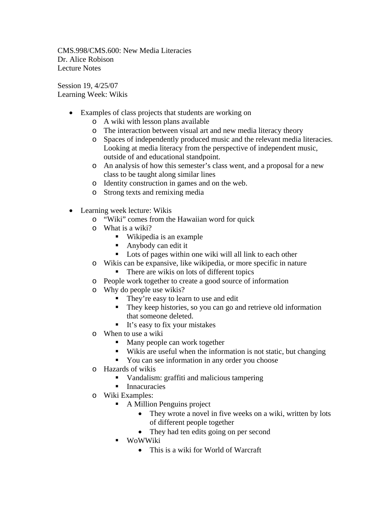CMS.998/CMS.600: New Media Literacies Dr. Alice Robison Lecture Notes

Session 19, 4/25/07 Learning Week: Wikis

- Examples of class projects that students are working on
	- o A wiki with lesson plans available
	- o The interaction between visual art and new media literacy theory
	- o Spaces of independently produced music and the relevant media literacies. Looking at media literacy from the perspective of independent music, outside of and educational standpoint.
	- o An analysis of how this semester's class went, and a proposal for a new class to be taught along similar lines
	- o Identity construction in games and on the web.
	- o Strong texts and remixing media
- Learning week lecture: Wikis
	- o "Wiki" comes from the Hawaiian word for quick
	- o What is a wiki?
		- Wikipedia is an example
		- Anybody can edit it
		- Lots of pages within one wiki will all link to each other
	- o Wikis can be expansive, like wikipedia, or more specific in nature
		- There are wikis on lots of different topics
	- o People work together to create a good source of information
	- o Why do people use wikis?
		- They're easy to learn to use and edit
		- They keep histories, so you can go and retrieve old information that someone deleted.
		- $\blacksquare$  It's easy to fix your mistakes
	- o When to use a wiki
		- Many people can work together
		- Wikis are useful when the information is not static, but changing
		- You can see information in any order you choose
	- o Hazards of wikis
		- Vandalism: graffiti and malicious tampering
		- **Innacuracies**
	- o Wiki Examples:
		- A Million Penguins project
			- They wrote a novel in five weeks on a wiki, written by lots of different people together
			- They had ten edits going on per second
		- **WoWWiki** 
			- This is a wiki for World of Warcraft